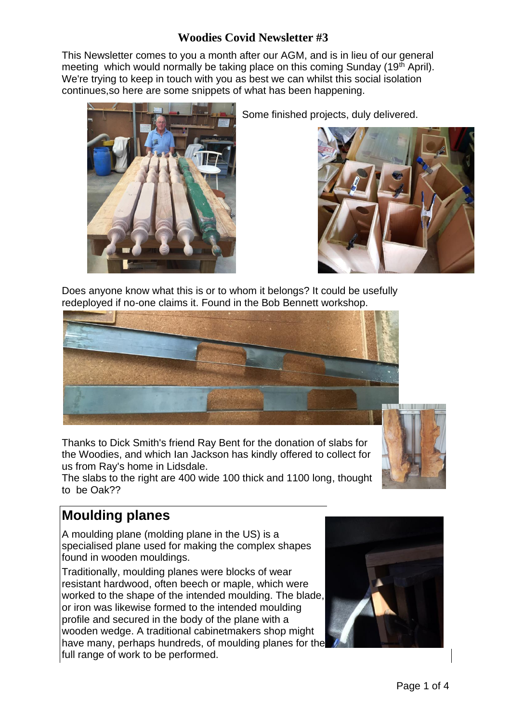### **Woodies Covid Newsletter #3**

This Newsletter comes to you a month after our AGM, and is in lieu of our general meeting which would normally be taking place on this coming Sunday (19<sup>th</sup> April). We're trying to keep in touch with you as best we can whilst this social isolation continues,so here are some snippets of what has been happening.



Some finished projects, duly delivered.



Does anyone know what this is or to whom it belongs? It could be usefully redeployed if no-one claims it. Found in the Bob Bennett workshop.



Thanks to Dick Smith's friend Ray Bent for the donation of slabs for the Woodies, and which Ian Jackson has kindly offered to collect for us from Ray's home in Lidsdale.

The slabs to the right are 400 wide 100 thick and 1100 long, thought to be Oak??



# **Moulding planes**

A moulding plane (molding plane in the US) is a specialised plane used for making the complex shapes found in wooden mouldings.

Traditionally, moulding planes were blocks of wear resistant hardwood, often beech or maple, which were worked to the shape of the intended moulding. The blade, or iron was likewise formed to the intended moulding profile and secured in the body of the plane with a wooden wedge. A traditional cabinetmakers shop might have many, perhaps hundreds, of moulding planes for the full range of work to be performed.

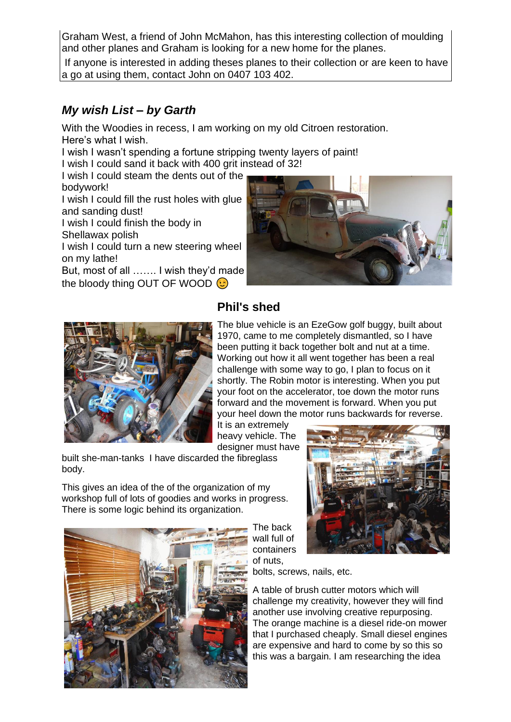Graham West, a friend of John McMahon, has this interesting collection of moulding and other planes and Graham is looking for a new home for the planes.

If anyone is interested in adding theses planes to their collection or are keen to have a go at using them, contact John on 0407 103 402.

#### *My wish List – by Garth*

With the Woodies in recess, I am working on my old Citroen restoration. Here's what I wish.

I wish I wasn't spending a fortune stripping twenty layers of paint!

I wish I could sand it back with 400 grit instead of 32!

I wish I could steam the dents out of the

bodywork!

I wish I could fill the rust holes with glue and sanding dust!

I wish I could finish the body in Shellawax polish

I wish I could turn a new steering wheel on my lathe!

But, most of all ……. I wish they'd made the bloody thing OUT OF WOOD  $\odot$ 





## **Phil's shed**

The blue vehicle is an EzeGow golf buggy, built about 1970, came to me completely dismantled, so I have been putting it back together bolt and nut at a time. Working out how it all went together has been a real challenge with some way to go, I plan to focus on it shortly. The Robin motor is interesting. When you put your foot on the accelerator, toe down the motor runs forward and the movement is forward. When you put your heel down the motor runs backwards for reverse.

It is an extremely heavy vehicle. The designer must have

built she-man-tanks I have discarded the fibreglass body.

This gives an idea of the of the organization of my workshop full of lots of goodies and works in progress. There is some logic behind its organization.



The back wall full of containers of nuts,

bolts, screws, nails, etc.

A table of brush cutter motors which will challenge my creativity, however they will find another use involving creative repurposing. The orange machine is a diesel ride-on mower that I purchased cheaply. Small diesel engines are expensive and hard to come by so this so this was a bargain. I am researching the idea

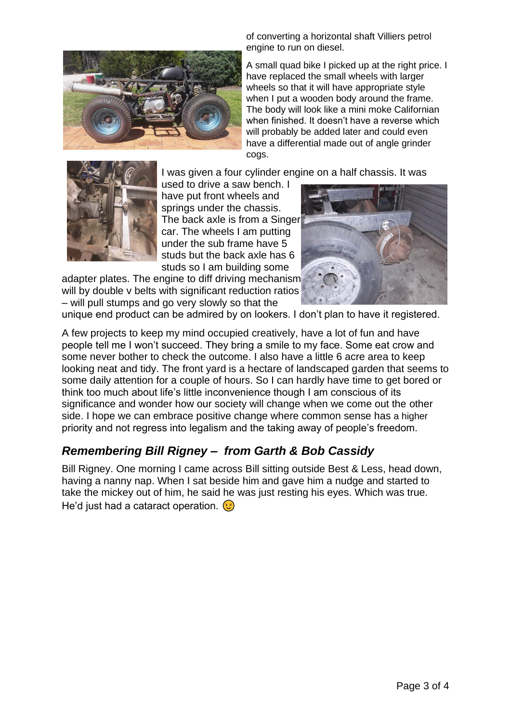

of converting a horizontal shaft Villiers petrol engine to run on diesel.

A small quad bike I picked up at the right price. I have replaced the small wheels with larger wheels so that it will have appropriate style when I put a wooden body around the frame. The body will look like a mini moke Californian when finished. It doesn't have a reverse which will probably be added later and could even have a differential made out of angle grinder cogs.

I was given a four cylinder engine on a half chassis. It was



used to drive a saw bench. I have put front wheels and springs under the chassis. The back axle is from a Singer car. The wheels I am putting under the sub frame have 5 studs but the back axle has 6 studs so I am building some

adapter plates. The engine to diff driving mechanism will by double v belts with significant reduction ratios – will pull stumps and go very slowly so that the



unique end product can be admired by on lookers. I don't plan to have it registered.

A few projects to keep my mind occupied creatively, have a lot of fun and have people tell me I won't succeed. They bring a smile to my face. Some eat crow and some never bother to check the outcome. I also have a little 6 acre area to keep looking neat and tidy. The front yard is a hectare of landscaped garden that seems to some daily attention for a couple of hours. So I can hardly have time to get bored or think too much about life's little inconvenience though I am conscious of its significance and wonder how our society will change when we come out the other side. I hope we can embrace positive change where common sense has a higher priority and not regress into legalism and the taking away of people's freedom.

## *Remembering Bill Rigney – from Garth & Bob Cassidy*

Bill Rigney. One morning I came across Bill sitting outside Best & Less, head down, having a nanny nap. When I sat beside him and gave him a nudge and started to take the mickey out of him, he said he was just resting his eyes. Which was true. He'd just had a cataract operation. **(3)**